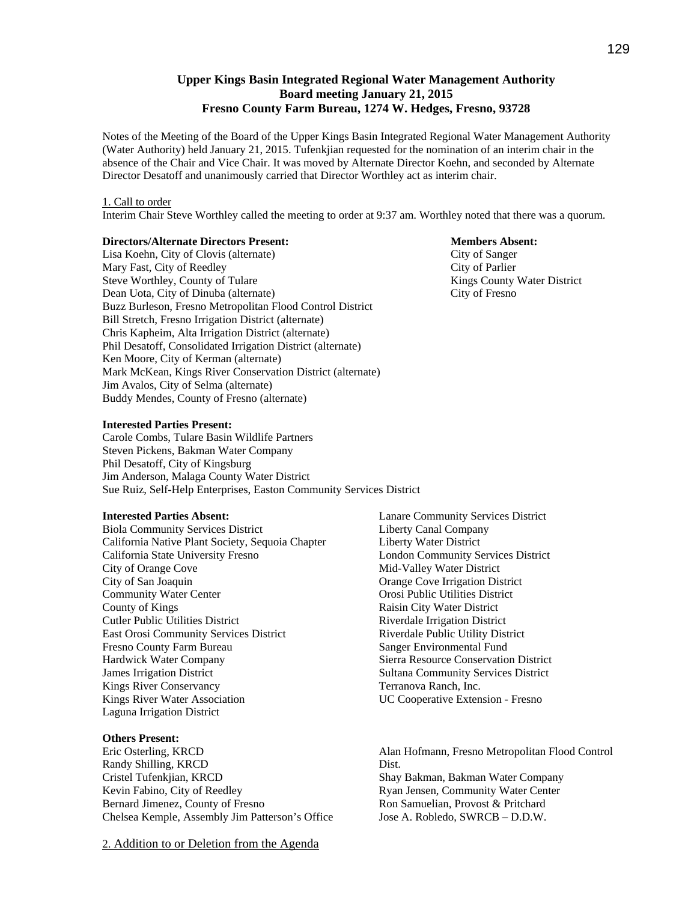# **Upper Kings Basin Integrated Regional Water Management Authority Board meeting January 21, 2015 Fresno County Farm Bureau, 1274 W. Hedges, Fresno, 93728**

Notes of the Meeting of the Board of the Upper Kings Basin Integrated Regional Water Management Authority (Water Authority) held January 21, 2015. Tufenkjian requested for the nomination of an interim chair in the absence of the Chair and Vice Chair. It was moved by Alternate Director Koehn, and seconded by Alternate Director Desatoff and unanimously carried that Director Worthley act as interim chair.

#### 1. Call to order

Interim Chair Steve Worthley called the meeting to order at 9:37 am. Worthley noted that there was a quorum.

## **Directors/Alternate Directors Present: Members Absent: Members Absent:**

Lisa Koehn, City of Clovis (alternate) City of Sanger Mary Fast, City of Reedley City of Parlier Steve Worthley, County of Tulare The County Water District Kings County Water District Dean Uota, City of Dinuba (alternate) City of Fresno Buzz Burleson, Fresno Metropolitan Flood Control District Bill Stretch, Fresno Irrigation District (alternate) Chris Kapheim, Alta Irrigation District (alternate) Phil Desatoff, Consolidated Irrigation District (alternate) Ken Moore, City of Kerman (alternate) Mark McKean, Kings River Conservation District (alternate) Jim Avalos, City of Selma (alternate) Buddy Mendes, County of Fresno (alternate)

## **Interested Parties Present:**

Carole Combs, Tulare Basin Wildlife Partners Steven Pickens, Bakman Water Company Phil Desatoff, City of Kingsburg Jim Anderson, Malaga County Water District Sue Ruiz, Self-Help Enterprises, Easton Community Services District

#### **Interested Parties Absent:**

Biola Community Services District California Native Plant Society, Sequoia Chapter California State University Fresno City of Orange Cove City of San Joaquin Community Water Center County of Kings Cutler Public Utilities District East Orosi Community Services District Fresno County Farm Bureau Hardwick Water Company James Irrigation District Kings River Conservancy Kings River Water Association Laguna Irrigation District

## **Others Present:**

Eric Osterling, KRCD Randy Shilling, KRCD Cristel Tufenkjian, KRCD Kevin Fabino, City of Reedley Bernard Jimenez, County of Fresno Chelsea Kemple, Assembly Jim Patterson's Office

2. Addition to or Deletion from the Agenda

Lanare Community Services District Liberty Canal Company Liberty Water District London Community Services District Mid-Valley Water District Orange Cove Irrigation District Orosi Public Utilities District Raisin City Water District Riverdale Irrigation District Riverdale Public Utility District Sanger Environmental Fund Sierra Resource Conservation District Sultana Community Services District Terranova Ranch, Inc. UC Cooperative Extension - Fresno

Alan Hofmann, Fresno Metropolitan Flood Control Dist. Shay Bakman, Bakman Water Company Ryan Jensen, Community Water Center Ron Samuelian, Provost & Pritchard Jose A. Robledo, SWRCB – D.D.W.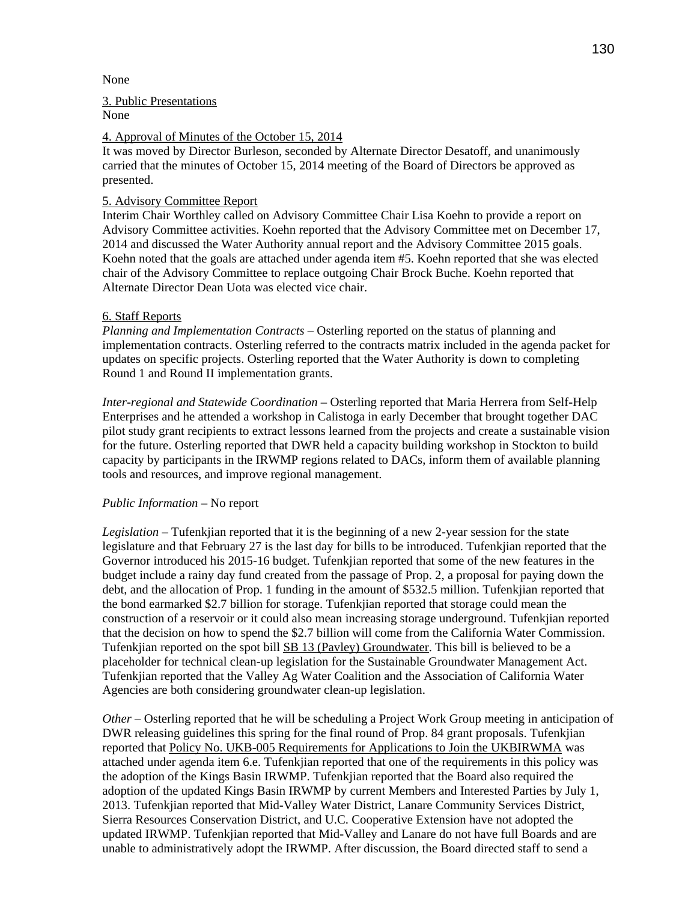## None

## 3. Public Presentations

None

## 4. Approval of Minutes of the October 15, 2014

It was moved by Director Burleson, seconded by Alternate Director Desatoff, and unanimously carried that the minutes of October 15, 2014 meeting of the Board of Directors be approved as presented.

# 5. Advisory Committee Report

Interim Chair Worthley called on Advisory Committee Chair Lisa Koehn to provide a report on Advisory Committee activities. Koehn reported that the Advisory Committee met on December 17, 2014 and discussed the Water Authority annual report and the Advisory Committee 2015 goals. Koehn noted that the goals are attached under agenda item #5. Koehn reported that she was elected chair of the Advisory Committee to replace outgoing Chair Brock Buche. Koehn reported that Alternate Director Dean Uota was elected vice chair.

## 6. Staff Reports

*Planning and Implementation Contracts* – Osterling reported on the status of planning and implementation contracts. Osterling referred to the contracts matrix included in the agenda packet for updates on specific projects. Osterling reported that the Water Authority is down to completing Round 1 and Round II implementation grants.

*Inter-regional and Statewide Coordination* – Osterling reported that Maria Herrera from Self-Help Enterprises and he attended a workshop in Calistoga in early December that brought together DAC pilot study grant recipients to extract lessons learned from the projects and create a sustainable vision for the future. Osterling reported that DWR held a capacity building workshop in Stockton to build capacity by participants in the IRWMP regions related to DACs, inform them of available planning tools and resources, and improve regional management.

## *Public Information* – No report

*Legislation* – Tufenkjian reported that it is the beginning of a new 2-year session for the state legislature and that February 27 is the last day for bills to be introduced. Tufenkjian reported that the Governor introduced his 2015-16 budget. Tufenkjian reported that some of the new features in the budget include a rainy day fund created from the passage of Prop. 2, a proposal for paying down the debt, and the allocation of Prop. 1 funding in the amount of \$532.5 million. Tufenkjian reported that the bond earmarked \$2.7 billion for storage. Tufenkjian reported that storage could mean the construction of a reservoir or it could also mean increasing storage underground. Tufenkjian reported that the decision on how to spend the \$2.7 billion will come from the California Water Commission. Tufenkjian reported on the spot bill SB 13 (Pavley) Groundwater. This bill is believed to be a placeholder for technical clean-up legislation for the Sustainable Groundwater Management Act. Tufenkjian reported that the Valley Ag Water Coalition and the Association of California Water Agencies are both considering groundwater clean-up legislation.

*Other –* Osterling reported that he will be scheduling a Project Work Group meeting in anticipation of DWR releasing guidelines this spring for the final round of Prop. 84 grant proposals. Tufenkjian reported that Policy No. UKB-005 Requirements for Applications to Join the UKBIRWMA was attached under agenda item 6.e. Tufenkjian reported that one of the requirements in this policy was the adoption of the Kings Basin IRWMP. Tufenkjian reported that the Board also required the adoption of the updated Kings Basin IRWMP by current Members and Interested Parties by July 1, 2013. Tufenkjian reported that Mid-Valley Water District, Lanare Community Services District, Sierra Resources Conservation District, and U.C. Cooperative Extension have not adopted the updated IRWMP. Tufenkjian reported that Mid-Valley and Lanare do not have full Boards and are unable to administratively adopt the IRWMP. After discussion, the Board directed staff to send a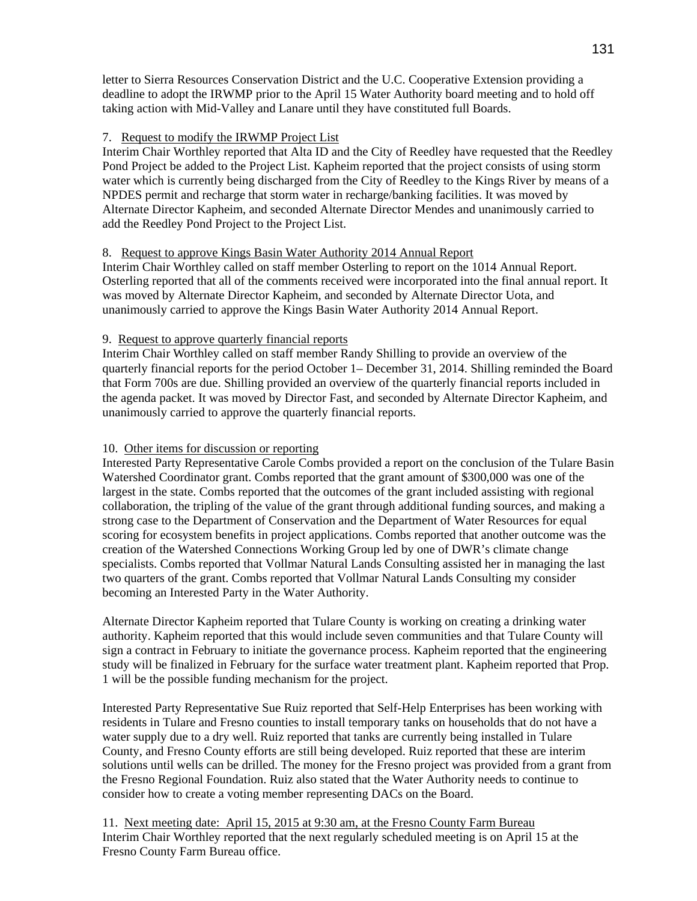letter to Sierra Resources Conservation District and the U.C. Cooperative Extension providing a deadline to adopt the IRWMP prior to the April 15 Water Authority board meeting and to hold off taking action with Mid-Valley and Lanare until they have constituted full Boards.

# 7. Request to modify the IRWMP Project List

Interim Chair Worthley reported that Alta ID and the City of Reedley have requested that the Reedley Pond Project be added to the Project List. Kapheim reported that the project consists of using storm water which is currently being discharged from the City of Reedley to the Kings River by means of a NPDES permit and recharge that storm water in recharge/banking facilities. It was moved by Alternate Director Kapheim, and seconded Alternate Director Mendes and unanimously carried to add the Reedley Pond Project to the Project List.

# 8. Request to approve Kings Basin Water Authority 2014 Annual Report

Interim Chair Worthley called on staff member Osterling to report on the 1014 Annual Report. Osterling reported that all of the comments received were incorporated into the final annual report. It was moved by Alternate Director Kapheim, and seconded by Alternate Director Uota, and unanimously carried to approve the Kings Basin Water Authority 2014 Annual Report.

# 9. Request to approve quarterly financial reports

Interim Chair Worthley called on staff member Randy Shilling to provide an overview of the quarterly financial reports for the period October 1– December 31, 2014. Shilling reminded the Board that Form 700s are due. Shilling provided an overview of the quarterly financial reports included in the agenda packet. It was moved by Director Fast, and seconded by Alternate Director Kapheim, and unanimously carried to approve the quarterly financial reports.

# 10. Other items for discussion or reporting

Interested Party Representative Carole Combs provided a report on the conclusion of the Tulare Basin Watershed Coordinator grant. Combs reported that the grant amount of \$300,000 was one of the largest in the state. Combs reported that the outcomes of the grant included assisting with regional collaboration, the tripling of the value of the grant through additional funding sources, and making a strong case to the Department of Conservation and the Department of Water Resources for equal scoring for ecosystem benefits in project applications. Combs reported that another outcome was the creation of the Watershed Connections Working Group led by one of DWR's climate change specialists. Combs reported that Vollmar Natural Lands Consulting assisted her in managing the last two quarters of the grant. Combs reported that Vollmar Natural Lands Consulting my consider becoming an Interested Party in the Water Authority.

Alternate Director Kapheim reported that Tulare County is working on creating a drinking water authority. Kapheim reported that this would include seven communities and that Tulare County will sign a contract in February to initiate the governance process. Kapheim reported that the engineering study will be finalized in February for the surface water treatment plant. Kapheim reported that Prop. 1 will be the possible funding mechanism for the project.

Interested Party Representative Sue Ruiz reported that Self-Help Enterprises has been working with residents in Tulare and Fresno counties to install temporary tanks on households that do not have a water supply due to a dry well. Ruiz reported that tanks are currently being installed in Tulare County, and Fresno County efforts are still being developed. Ruiz reported that these are interim solutions until wells can be drilled. The money for the Fresno project was provided from a grant from the Fresno Regional Foundation. Ruiz also stated that the Water Authority needs to continue to consider how to create a voting member representing DACs on the Board.

11. Next meeting date: April 15, 2015 at 9:30 am, at the Fresno County Farm Bureau Interim Chair Worthley reported that the next regularly scheduled meeting is on April 15 at the Fresno County Farm Bureau office.